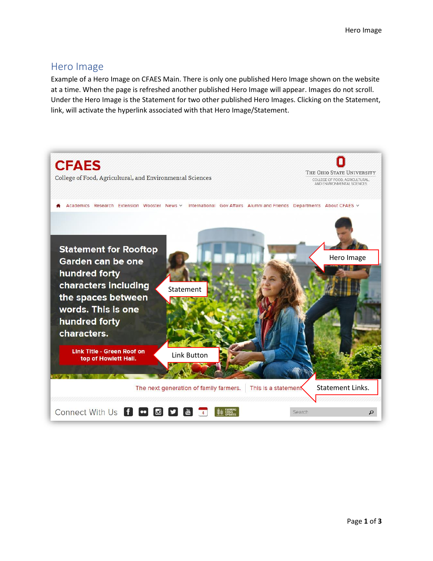## Hero Image

Example of a Hero Image on CFAES Main. There is only one published Hero Image shown on the website at a time. When the page is refreshed another published Hero Image will appear. Images do not scroll. Under the Hero Image is the Statement for two other published Hero Images. Clicking on the Statement, link, will activate the hyperlink associated with that Hero Image/Statement.

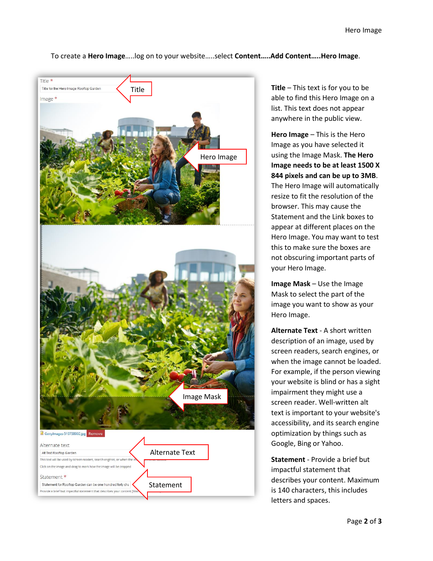## To create a **Hero Image**…..log on to your website…..select **Content…..Add Content…..Hero Image**.



**Title** – This text is for you to be able to find this Hero Image on a list. This text does not appear anywhere in the public view.

**Hero Image** – This is the Hero Image as you have selected it using the Image Mask. **The Hero Image needs to be at least 1500 X 844 pixels and can be up to 3MB**. The Hero Image will automatically resize to fit the resolution of the browser. This may cause the Statement and the Link boxes to appear at different places on the Hero Image. You may want to test this to make sure the boxes are not obscuring important parts of your Hero Image.

**Image Mask** – Use the Image Mask to select the part of the image you want to show as your Hero Image.

**Alternate Text** - A short written description of an image, used by screen readers, search engines, or when the image cannot be loaded. For example, if the person viewing your website is blind or has a sight impairment they might use a screen reader. Well-written alt text is important to your website's accessibility, and its search engine optimization by things such as Google, Bing or Yahoo.

**Statement** - Provide a brief but impactful statement that describes your content. Maximum is 140 characters, this includes letters and spaces.